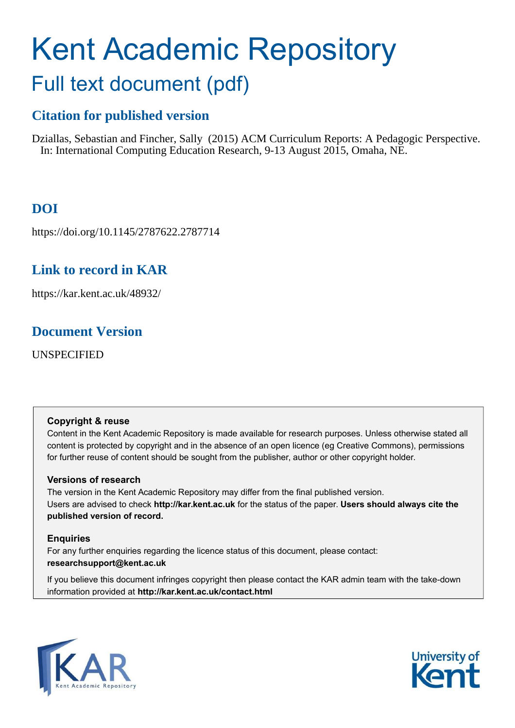# Kent Academic Repository Full text document (pdf)

# **Citation for published version**

Dziallas, Sebastian and Fincher, Sally (2015) ACM Curriculum Reports: A Pedagogic Perspective. In: International Computing Education Research, 9-13 August 2015, Omaha, NE.

# **DOI**

https://doi.org/10.1145/2787622.2787714

# **Link to record in KAR**

https://kar.kent.ac.uk/48932/

# **Document Version**

UNSPECIFIED

# **Copyright & reuse**

Content in the Kent Academic Repository is made available for research purposes. Unless otherwise stated all content is protected by copyright and in the absence of an open licence (eg Creative Commons), permissions for further reuse of content should be sought from the publisher, author or other copyright holder.

# **Versions of research**

The version in the Kent Academic Repository may differ from the final published version. Users are advised to check **http://kar.kent.ac.uk** for the status of the paper. **Users should always cite the published version of record.**

# **Enquiries**

For any further enquiries regarding the licence status of this document, please contact: **researchsupport@kent.ac.uk**

If you believe this document infringes copyright then please contact the KAR admin team with the take-down information provided at **http://kar.kent.ac.uk/contact.html**



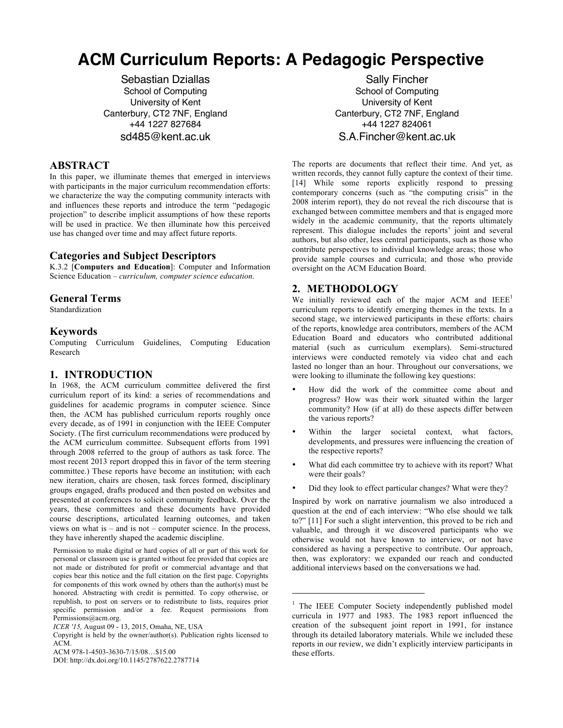# **ACM Curriculum Reports: A Pedagogic Perspective**

Sebastian Dziallas School of Computing University of Kent Canterbury, CT2 7NF, England +44 1227 827684 sd485@kent.ac.uk

# **ABSTRACT**

In this paper, we illuminate themes that emerged in interviews with participants in the major curriculum recommendation efforts: we characterize the way the computing community interacts with and influences these reports and introduce the term "pedagogic projection" to describe implicit assumptions of how these reports will be used in practice. We then illuminate how this perceived use has changed over time and may affect future reports.

# **Categories and Subject Descriptors**

K.3.2 [**Computers and Education**]: Computer and Information Science Education – *curriculum, computer science education.* 

# **General Terms**

Standardization

# **Keywords**

Computing Curriculum Guidelines, Computing Education Research

# **1. INTRODUCTION**

In 1968, the ACM curriculum committee delivered the first curriculum report of its kind: a series of recommendations and guidelines for academic programs in computer science. Since then, the ACM has published curriculum reports roughly once every decade, as of 1991 in conjunction with the IEEE Computer Society. (The first curriculum recommendations were produced by the ACM curriculum committee. Subsequent efforts from 1991 through 2008 referred to the group of authors as task force. The most recent 2013 report dropped this in favor of the term steering committee.) These reports have become an institution; with each new iteration, chairs are chosen, task forces formed, disciplinary groups engaged, drafts produced and then posted on websites and presented at conferences to solicit community feedback. Over the years, these committees and these documents have provided course descriptions, articulated learning outcomes, and taken views on what is  $-$  and is not  $-$  computer science. In the process, they have inherently shaped the academic discipline.

Permission to make digital or hard copies of all or part of this work for personal or classroom use is granted without fee provided that copies are not made or distributed for profit or commercial advantage and that copies bear this notice and the full citation on the first page. Copyrights for components of this work owned by others than the author(s) must be honored. Abstracting with credit is permitted. To copy otherwise, or republish, to post on servers or to redistribute to lists, requires prior specific permission and/or a fee. Request permissions from Permissions@acm.org.

Copyright is held by the owner/author(s). Publication rights licensed to ACM.

DOI: http://dx.doi.org/10.1145/2787622.2787714

Sally Fincher School of Computing University of Kent Canterbury, CT2 7NF, England +44 1227 824061 S.A.Fincher@kent.ac.uk

The reports are documents that reflect their time. And yet, as written records, they cannot fully capture the context of their time. [14] While some reports explicitly respond to pressing contemporary concerns (such as  $\cdot$ <sup>the</sup> computing crisis<sup> $\cdot$ </sup> in the 2008 interim report), they do not reveal the rich discourse that is exchanged between committee members and that is engaged more widely in the academic community, that the reports ultimately represent. This dialogue includes the reports' joint and several authors, but also other, less central participants, such as those who contribute perspectives to individual knowledge areas; those who provide sample courses and curricula; and those who provide oversight on the ACM Education Board.

# **2. METHODOLOGY**

j

We initially reviewed each of the major ACM and  $IEEE<sup>1</sup>$ curriculum reports to identify emerging themes in the texts. In a second stage, we interviewed participants in these efforts: chairs of the reports, knowledge area contributors, members of the ACM Education Board and educators who contributed additional material (such as curriculum exemplars). Semi-structured interviews were conducted remotely via video chat and each lasted no longer than an hour. Throughout our conversations, we were looking to illuminate the following key questions:

- How did the work of the committee come about and progress? How was their work situated within the larger community? How (if at all) do these aspects differ between the various reports?
- Within the larger societal context, what factors, developments, and pressures were influencing the creation of the respective reports?
- What did each committee try to achieve with its report? What were their goals?
- Did they look to effect particular changes? What were they?

Inspired by work on narrative journalism we also introduced a question at the end of each interview: "Who else should we talk to?" [11] For such a slight intervention, this proved to be rich and valuable, and through it we discovered participants who we otherwise would not have known to interview, or not have considered as having a perspective to contribute. Our approach, then, was exploratory: we expanded our reach and conducted additional interviews based on the conversations we had.

*ICER '15,* August 09 - 13, 2015, Omaha, NE, USA

ACM 978-1-4503-3630-7/15/08...\$15.00

<sup>&</sup>lt;sup>1</sup> The IEEE Computer Society independently published model curricula in 1977 and 1983. The 1983 report influenced the creation of the subsequent joint report in 1991, for instance through its detailed laboratory materials. While we included these reports in our review, we didn't explicitly interview participants in these efforts.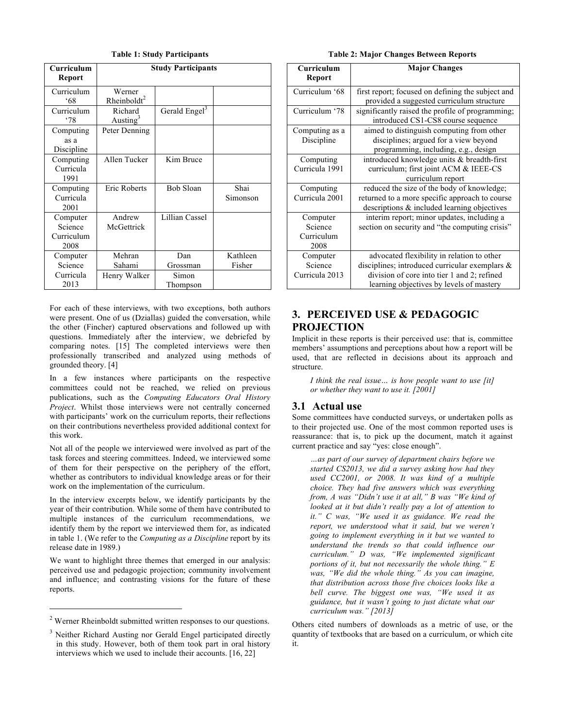| Curriculum<br>Report                      | <b>Study Participants</b>         |                           |                    |
|-------------------------------------------|-----------------------------------|---------------------------|--------------------|
| Curriculum<br>$^{\circ}68$                | Werner<br>Rheinboldt <sup>2</sup> |                           |                    |
| Curriculum<br>78'                         | Richard<br>Austing <sup>3</sup>   | Gerald Engel <sup>3</sup> |                    |
| Computing<br>as a<br>Discipline           | Peter Denning                     |                           |                    |
| Computing<br>Curricula<br>1991            | Allen Tucker                      | Kim Bruce                 |                    |
| Computing<br>Curricula<br>2001            | Eric Roberts                      | Bob Sloan                 | Shai<br>Simonson   |
| Computer<br>Science<br>Curriculum<br>2008 | Andrew<br>McGettrick              | Lillian Cassel            |                    |
| Computer<br>Science                       | Mehran<br>Sahami                  | Dan<br>Grossman           | Kathleen<br>Fisher |
| Curricula<br>2013                         | Henry Walker                      | Simon<br>Thompson         |                    |

**Table 1: Study Participants**

For each of these interviews, with two exceptions, both authors were present. One of us (Dziallas) guided the conversation, while the other (Fincher) captured observations and followed up with questions. Immediately after the interview, we debriefed by comparing notes. [15] The completed interviews were then professionally transcribed and analyzed using methods of grounded theory. [4]

In a few instances where participants on the respective committees could not be reached, we relied on previous publications, such as the *Computing Educators Oral History Project*. Whilst those interviews were not centrally concerned with participants' work on the curriculum reports, their reflections on their contributions nevertheless provided additional context for this work.

Not all of the people we interviewed were involved as part of the task forces and steering committees. Indeed, we interviewed some of them for their perspective on the periphery of the effort, whether as contributors to individual knowledge areas or for their work on the implementation of the curriculum.

In the interview excerpts below, we identify participants by the year of their contribution. While some of them have contributed to multiple instances of the curriculum recommendations, we identify them by the report we interviewed them for, as indicated in table 1. (We refer to the *Computing as a Discipline* report by its release date in 1989.)

We want to highlight three themes that emerged in our analysis: perceived use and pedagogic projection; community involvement and influence; and contrasting visions for the future of these reports.

 $\overline{a}$ 

| <b>Table 2: Major Changes Between Reports</b> |  |  |  |  |
|-----------------------------------------------|--|--|--|--|
|-----------------------------------------------|--|--|--|--|

| Curriculum     | <b>Major Changes</b>                              |  |
|----------------|---------------------------------------------------|--|
| Report         |                                                   |  |
| Curriculum '68 | first report; focused on defining the subject and |  |
|                | provided a suggested curriculum structure         |  |
| Curriculum '78 | significantly raised the profile of programming;  |  |
|                | introduced CS1-CS8 course sequence                |  |
| Computing as a | aimed to distinguish computing from other         |  |
| Discipline     | disciplines; argued for a view beyond             |  |
|                | programming, including, e.g., design              |  |
| Computing      | introduced knowledge units & breadth-first        |  |
| Curricula 1991 | curriculum; first joint ACM & IEEE-CS             |  |
|                | curriculum report                                 |  |
| Computing      | reduced the size of the body of knowledge;        |  |
| Curricula 2001 | returned to a more specific approach to course    |  |
|                | descriptions & included learning objectives       |  |
| Computer       | interim report; minor updates, including a        |  |
| Science        | section on security and "the computing crisis"    |  |
| Curriculum     |                                                   |  |
| 2008           |                                                   |  |
| Computer       | advocated flexibility in relation to other        |  |
| Science        | disciplines; introduced curricular exemplars $\&$ |  |
| Curricula 2013 | division of core into tier 1 and 2; refined       |  |
|                | learning objectives by levels of mastery          |  |

# **3. PERCEIVED USE & PEDAGOGIC PROJECTION**

Implicit in these reports is their perceived use: that is, committee members' assumptions and perceptions about how a report will be used, that are reflected in decisions about its approach and structure.

*I think the real issue... is how people want to use [it] or whether they want to use it. [2001]*

# **3.1 Actual use**

Some committees have conducted surveys, or undertaken polls as to their projected use. One of the most common reported uses is reassurance: that is, to pick up the document, match it against current practice and say "yes: close enough".

*Öas part of our survey of department chairs before we started CS2013, we did a survey asking how had they used CC2001, or 2008. It was kind of a multiple choice. They had five answers which was everything from, A was "Didn't use it at all," B was "We kind of looked at it but didn't really pay a lot of attention to it.*" C was, "We used it as guidance. We read the *report, we understood what it said, but we werenít going to implement everything in it but we wanted to understand the trends so that could influence our*  curriculum." D was, "We implemented significant *portions of it, but not necessarily the whole thing.*" E *was, "We did the whole thing." As you can imagine, that distribution across those five choices looks like a bell curve. The biggest one was, "We used it as guidance, but it wasnít going to just dictate what our curriculum was.î [2013]*

Others cited numbers of downloads as a metric of use, or the quantity of textbooks that are based on a curriculum, or which cite it.

<sup>2</sup> Werner Rheinboldt submitted written responses to our questions.

<sup>&</sup>lt;sup>3</sup> Neither Richard Austing nor Gerald Engel participated directly in this study. However, both of them took part in oral history interviews which we used to include their accounts. [16, 22]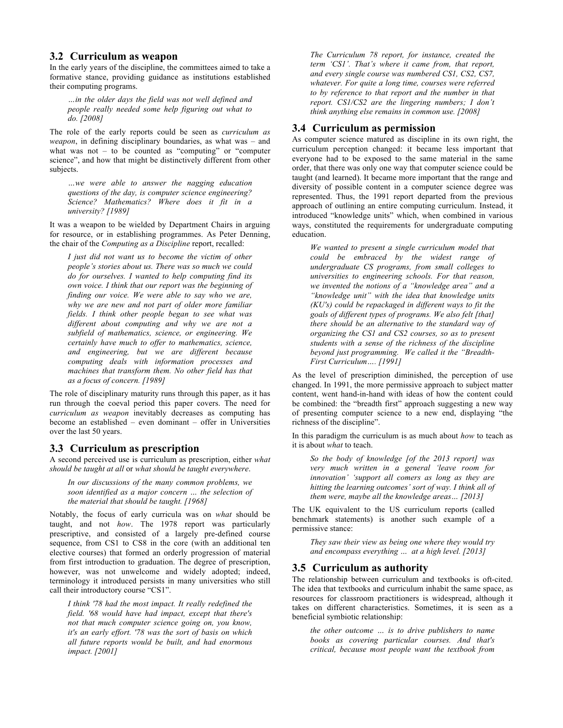#### **3.2 Curriculum as weapon**

In the early years of the discipline, the committees aimed to take a formative stance, providing guidance as institutions established their computing programs.

*Öin the older days the field was not well defined and people really needed some help figuring out what to do. [2008]*

The role of the early reports could be seen as *curriculum as weapon*, in defining disciplinary boundaries, as what was – and what was not  $-$  to be counted as "computing" or "computer science", and how that might be distinctively different from other subjects.

*Öwe were able to answer the nagging education questions of the day, is computer science engineering? Science? Mathematics? Where does it fit in a university? [1989]*

It was a weapon to be wielded by Department Chairs in arguing for resource, or in establishing programmes. As Peter Denning, the chair of the *Computing as a Discipline* report, recalled:

*I just did not want us to become the victim of other people's stories about us. There was so much we could do for ourselves. I wanted to help computing find its own voice. I think that our report was the beginning of finding our voice. We were able to say who we are, why we are new and not part of older more familiar fields. I think other people began to see what was different about computing and why we are not a subfield of mathematics, science, or engineering. We certainly have much to offer to mathematics, science, and engineering, but we are different because computing deals with information processes and machines that transform them. No other field has that as a focus of concern. [1989]* 

The role of disciplinary maturity runs through this paper, as it has run through the coeval period this paper covers. The need for *curriculum as weapon* inevitably decreases as computing has become an established  $-$  even dominant  $-$  offer in Universities over the last 50 years.

#### **3.3 Curriculum as prescription**

A second perceived use is curriculum as prescription, either *what should be taught at all* or *what should be taught everywhere*.

*In our discussions of the many common problems, we*  soon identified as a major concern  $\ldots$  the selection of *the material that should be taught. [1968]*

Notably, the focus of early curricula was on *what* should be taught, and not *how*. The 1978 report was particularly prescriptive, and consisted of a largely pre-defined course sequence, from CS1 to CS8 in the core (with an additional ten elective courses) that formed an orderly progression of material from first introduction to graduation. The degree of prescription, however, was not unwelcome and widely adopted; indeed, terminology it introduced persists in many universities who still call their introductory course "CS1".

*I think '78 had the most impact. It really redefined the field. '68 would have had impact, except that there's not that much computer science going on, you know, it's an early effort. '78 was the sort of basis on which all future reports would be built, and had enormous impact. [2001]*

*The Curriculum 78 report, for instance, created the term ëCS1í. Thatís where it came from, that report, and every single course was numbered CS1, CS2, CS7, whatever. For quite a long time, courses were referred to by reference to that report and the number in that report.* CS1/CS2 are the lingering numbers; I don't *think anything else remains in common use. [2008]*

# **3.4 Curriculum as permission**

As computer science matured as discipline in its own right, the curriculum perception changed: it became less important that everyone had to be exposed to the same material in the same order, that there was only one way that computer science could be taught (and learned). It became more important that the range and diversity of possible content in a computer science degree was represented. Thus, the 1991 report departed from the previous approach of outlining an entire computing curriculum. Instead, it introduced "knowledge units" which, when combined in various ways, constituted the requirements for undergraduate computing education.

*We wanted to present a single curriculum model that could be embraced by the widest range of undergraduate CS programs, from small colleges to universities to engineering schools. For that reason, we invented the notions of a "knowledge area" and a ìknowledge unitî with the idea that knowledge units (KU's) could be repackaged in different ways to fit the goals of different types of programs. We also felt [that] there should be an alternative to the standard way of organizing the CS1 and CS2 courses, so as to present students with a sense of the richness of the discipline*  beyond just programming. We called it the "Breadth-*First Curriculum....* [1991]

As the level of prescription diminished, the perception of use changed. In 1991, the more permissive approach to subject matter content, went hand-in-hand with ideas of how the content could be combined: the "breadth first" approach suggesting a new way of presenting computer science to a new end, displaying "the richness of the discipline".

In this paradigm the curriculum is as much about *how* to teach as it is about *what* to teach.

*So the body of knowledge [of the 2013 report] was very much written in a general ëleave room for innovationí ësupport all comers as long as they are*  hitting the learning outcomes' sort of way. I think all of *them were, maybe all the knowledge areas...* [2013]

The UK equivalent to the US curriculum reports (called benchmark statements) is another such example of a permissive stance:

*They saw their view as being one where they would try and encompass everything ... at a high level.* [2013]

# **3.5 Curriculum as authority**

The relationship between curriculum and textbooks is oft-cited. The idea that textbooks and curriculum inhabit the same space, as resources for classroom practitioners is widespread, although it takes on different characteristics. Sometimes, it is seen as a beneficial symbiotic relationship:

*the other outcome ... is to drive publishers to name books as covering particular courses. And that's critical, because most people want the textbook from*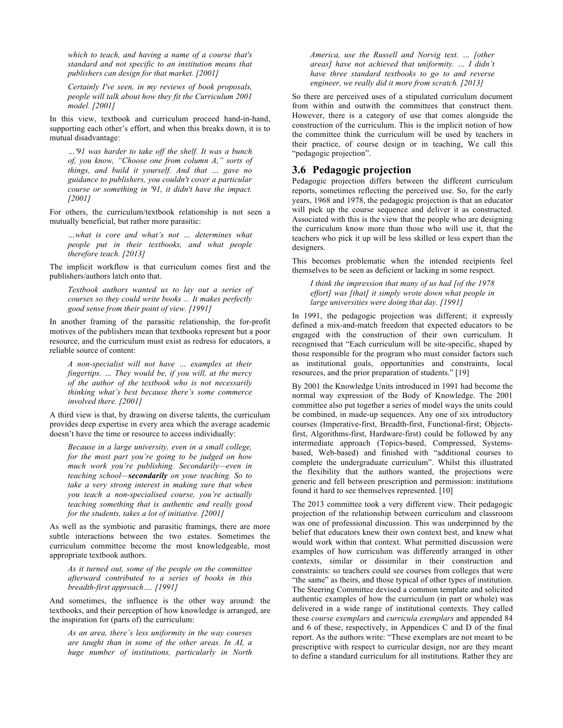*which to teach, and having a name of a course that's standard and not specific to an institution means that publishers can design for that market. [2001]*

*Certainly I've seen, in my reviews of book proposals, people will talk about how they fit the Curriculum 2001 model. [2001]*

In this view, textbook and curriculum proceed hand-in-hand, supporting each other's effort, and when this breaks down, it is to mutual disadvantage:

*Ö'91 was harder to take off the shelf. It was a bunch*  of, you know, "Choose one from column A," sorts of *things, and build it yourself. And that ... gave no guidance to publishers, you couldn't cover a particular course or something in '91, it didn't have the impact. [2001]*

For others, the curriculum/textbook relationship is not seen a mutually beneficial, but rather more parasitic:

 $\dots$ what is core and what's not  $\dots$  determines what *people put in their textbooks, and what people therefore teach. [2013]*

The implicit workflow is that curriculum comes first and the publishers/authors latch onto that.

*Textbook authors wanted us to lay out a series of courses so they could write books ... It makes perfectly good sense from their point of view. [1991]*

In another framing of the parasitic relationship, the for-profit motives of the publishers mean that textbooks represent but a poor resource, and the curriculum must exist as redress for educators, a reliable source of content:

*A non-specialist will not have ... examples at their fingertips. ... They would be, if you will, at the mercy of the author of the textbook who is not necessarily thinking what's best because there's some commerce involved there. [2001]* 

A third view is that, by drawing on diverse talents, the curriculum provides deep expertise in every area which the average academic doesn't have the time or resource to access individually:

*Because in a large university, even in a small college, for the most part youíre going to be judged on how much work you're publishing. Secondarily*—even in *teaching school*—**secondarily** *on your teaching. So to take a very strong interest in making sure that when you teach a non-specialised course, youíre actually teaching something that is authentic and really good for the students, takes a lot of initiative. [2001]*

As well as the symbiotic and parasitic framings, there are more subtle interactions between the two estates. Sometimes the curriculum committee become the most knowledgeable, most appropriate textbook authors.

*As it turned out, some of the people on the committee afterward contributed to a series of books in this breadth-first approach....* [1991]

And sometimes, the influence is the other way around: the textbooks, and their perception of how knowledge is arranged, are the inspiration for (parts of) the curriculum:

As an area, there's less uniformity in the way courses *are taught than in some of the other areas. In AI, a huge number of institutions, particularly in North*  *America, use the Russell and Norvig text. ... [other areas] have not achieved that uniformity. ... I didn't have three standard textbooks to go to and reverse engineer, we really did it more from scratch. [2013]*

So there are perceived uses of a stipulated curriculum document from within and outwith the committees that construct them. However, there is a category of use that comes alongside the construction of the curriculum. This is the implicit notion of how the committee think the curriculum will be used by teachers in their practice, of course design or in teaching, We call this "pedagogic projection".

#### **3.6 Pedagogic projection**

Pedagogic projection differs between the different curriculum reports, sometimes reflecting the perceived use. So, for the early years, 1968 and 1978, the pedagogic projection is that an educator will pick up the course sequence and deliver it as constructed. Associated with this is the view that the people who are designing the curriculum know more than those who will use it, that the teachers who pick it up will be less skilled or less expert than the designers.

This becomes problematic when the intended recipients feel themselves to be seen as deficient or lacking in some respect.

*I think the impression that many of us had [of the 1978 effort] was [that] it simply wrote down what people in large universities were doing that day. [1991]*

In 1991, the pedagogic projection was different; it expressly defined a mix-and-match freedom that expected educators to be engaged with the construction of their own curriculum. It recognised that "Each curriculum will be site-specific, shaped by those responsible for the program who must consider factors such as institutional goals, opportunities and constraints, local resources, and the prior preparation of students." [19]

By 2001 the Knowledge Units introduced in 1991 had become the normal way expression of the Body of Knowledge. The 2001 committee also put together a series of model ways the units could be combined, in made-up sequences. Any one of six introductory courses (Imperative-first, Breadth-first, Functional-first; Objectsfirst, Algorithms-first, Hardware-first) could be followed by any intermediate approach (Topics-based, Compressed, Systemsbased, Web-based) and finished with "additional courses to complete the undergraduate curriculum". Whilst this illustrated the flexibility that the authors wanted, the projections were generic and fell between prescription and permission: institutions found it hard to see themselves represented. [10]

The 2013 committee took a very different view. Their pedagogic projection of the relationship between curriculum and classroom was one of professional discussion. This was underpinned by the belief that educators knew their own context best, and knew what would work within that context. What permitted discussion were examples of how curriculum was differently arranged in other contexts, similar or dissimilar in their construction and constraints: so teachers could see courses from colleges that were "the same" as theirs, and those typical of other types of institution. The Steering Committee devised a common template and solicited authentic examples of how the curriculum (in part or whole) was delivered in a wide range of institutional contexts. They called these *course exemplars* and *curricula exemplars* and appended 84 and 6 of these, respectively, in Appendices C and D of the final report. As the authors write: "These exemplars are not meant to be prescriptive with respect to curricular design, nor are they meant to define a standard curriculum for all institutions. Rather they are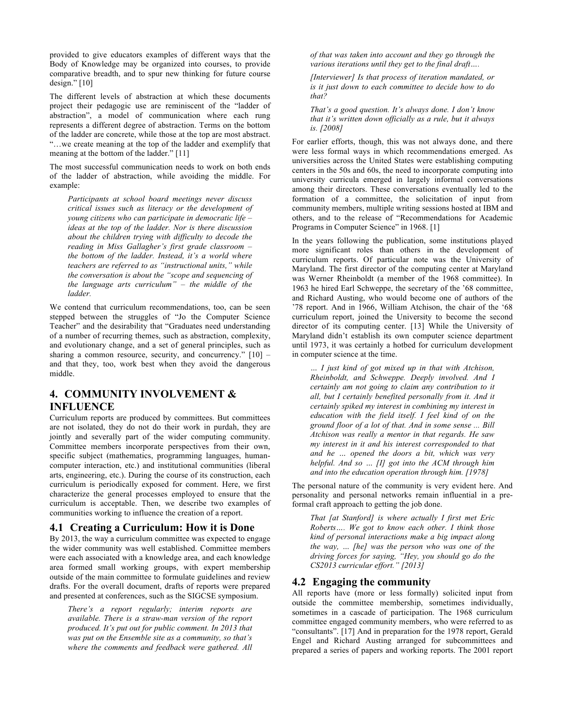provided to give educators examples of different ways that the Body of Knowledge may be organized into courses, to provide comparative breadth, and to spur new thinking for future course design." $[10]$ 

The different levels of abstraction at which these documents project their pedagogic use are reminiscent of the "ladder of abstraction", a model of communication where each rung represents a different degree of abstraction. Terms on the bottom of the ladder are concrete, while those at the top are most abstract. ìÖwe create meaning at the top of the ladder and exemplify that meaning at the bottom of the ladder." $[11]$ 

The most successful communication needs to work on both ends of the ladder of abstraction, while avoiding the middle. For example:

*Participants at school board meetings never discuss critical issues such as literacy or the development of young citizens who can participate in democratic life – ideas at the top of the ladder. Nor is there discussion about the children trying with difficulty to decode the reading in Miss Gallagher's first grade classroom* the bottom of the ladder. Instead, it's a world where *teachers are referred to as "instructional units," while the conversation is about the "scope and sequencing of the language arts curriculum*<sup>"</sup> – the middle of the *ladder.*

We contend that curriculum recommendations, too, can be seen stepped between the struggles of "Jo the Computer Science Teacher" and the desirability that "Graduates need understanding of a number of recurring themes, such as abstraction, complexity, and evolutionary change, and a set of general principles, such as sharing a common resource, security, and concurrency."  $[10]$  – and that they, too, work best when they avoid the dangerous middle.

# **4. COMMUNITY INVOLVEMENT & INFLUENCE**

Curriculum reports are produced by committees. But committees are not isolated, they do not do their work in purdah, they are jointly and severally part of the wider computing community. Committee members incorporate perspectives from their own, specific subject (mathematics, programming languages, humancomputer interaction, etc.) and institutional communities (liberal arts, engineering, etc.). During the course of its construction, each curriculum is periodically exposed for comment. Here, we first characterize the general processes employed to ensure that the curriculum is acceptable. Then, we describe two examples of communities working to influence the creation of a report.

#### **4.1 Creating a Curriculum: How it is Done**

By 2013, the way a curriculum committee was expected to engage the wider community was well established. Committee members were each associated with a knowledge area, and each knowledge area formed small working groups, with expert membership outside of the main committee to formulate guidelines and review drafts. For the overall document, drafts of reports were prepared and presented at conferences, such as the SIGCSE symposium.

*Thereís a report regularly; interim reports are available. There is a straw-man version of the report produced. Itís put out for public comment. In 2013 that*  was put on the Ensemble site as a community, so that's *where the comments and feedback were gathered. All*  *of that was taken into account and they go through the various iterations until they get to the final draft....* 

*[Interviewer] Is that process of iteration mandated, or is it just down to each committee to decide how to do that?* 

*That's a good question. It's always done. I don't know that itís written down officially as a rule, but it always is. [2008]*

For earlier efforts, though, this was not always done, and there were less formal ways in which recommendations emerged. As universities across the United States were establishing computing centers in the 50s and 60s, the need to incorporate computing into university curricula emerged in largely informal conversations among their directors. These conversations eventually led to the formation of a committee, the solicitation of input from community members, multiple writing sessions hosted at IBM and others, and to the release of "Recommendations for Academic Programs in Computer Science" in 1968. [1]

In the years following the publication, some institutions played more significant roles than others in the development of curriculum reports. Of particular note was the University of Maryland. The first director of the computing center at Maryland was Werner Rheinboldt (a member of the 1968 committee). In 1963 he hired Earl Schweppe, the secretary of the '68 committee, and Richard Austing, who would become one of authors of the '78 report. And in 1966, William Atchison, the chair of the '68 curriculum report, joined the University to become the second director of its computing center. [13] While the University of Maryland didn't establish its own computer science department until 1973, it was certainly a hotbed for curriculum development in computer science at the time.

*Ö I just kind of got mixed up in that with Atchison, Rheinboldt, and Schweppe. Deeply involved. And I certainly am not going to claim any contribution to it all, but I certainly benefited personally from it. And it certainly spiked my interest in combining my interest in education with the field itself. I feel kind of on the ground floor of a lot of that. And in some sense ... Bill Atchison was really a mentor in that regards. He saw my interest in it and his interest corresponded to that*  and he  $\ldots$  opened the doors a bit, which was very *helpful. And so ... [I] got into the ACM through him and into the education operation through him. [1978]*

The personal nature of the community is very evident here. And personality and personal networks remain influential in a preformal craft approach to getting the job done.

*That [at Stanford] is where actually I first met Eric Roberts....* We got to know each other. I think those *kind of personal interactions make a big impact along*  the way, ... [he] was the person who was one of the *driving forces for saying, "Hey, you should go do the CS2013 curricular effort.î [2013]*

# **4.2 Engaging the community**

All reports have (more or less formally) solicited input from outside the committee membership, sometimes individually, sometimes in a cascade of participation. The 1968 curriculum committee engaged community members, who were referred to as ìconsultantsî. [17] And in preparation for the 1978 report, Gerald Engel and Richard Austing arranged for subcommittees and prepared a series of papers and working reports. The 2001 report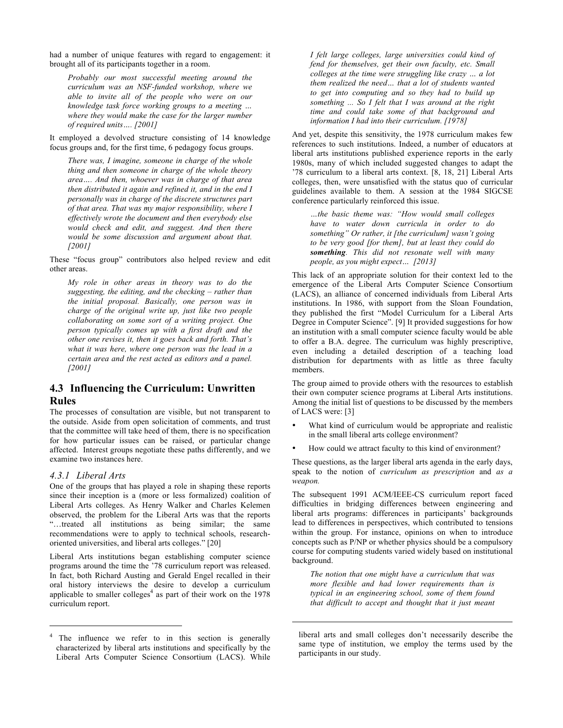had a number of unique features with regard to engagement: it brought all of its participants together in a room.

*Probably our most successful meeting around the curriculum was an NSF-funded workshop, where we able to invite all of the people who were on our knowledge task force working groups to a meeting* ... *where they would make the case for the larger number of required units....* [2001]

It employed a devolved structure consisting of 14 knowledge focus groups and, for the first time, 6 pedagogy focus groups.

*There was, I imagine, someone in charge of the whole thing and then someone in charge of the whole theory*  area.... And then, whoever was in charge of that area *then distributed it again and refined it, and in the end I personally was in charge of the discrete structures part of that area. That was my major responsibility, where I effectively wrote the document and then everybody else would check and edit, and suggest. And then there would be some discussion and argument about that. [2001]*

These "focus group" contributors also helped review and edit other areas.

*My role in other areas in theory was to do the suggesting, the editing, and the checking – rather than the initial proposal. Basically, one person was in charge of the original write up, just like two people collaborating on some sort of a writing project. One person typically comes up with a first draft and the other one revises it, then it goes back and forth. That's what it was here, where one person was the lead in a certain area and the rest acted as editors and a panel. [2001]*

# **4.3 Influencing the Curriculum: Unwritten Rules**

The processes of consultation are visible, but not transparent to the outside. Aside from open solicitation of comments, and trust that the committee will take heed of them, there is no specification for how particular issues can be raised, or particular change affected. Interest groups negotiate these paths differently, and we examine two instances here.

#### *4.3.1 Liberal Arts*

 $\overline{a}$ 

One of the groups that has played a role in shaping these reports since their inception is a (more or less formalized) coalition of Liberal Arts colleges. As Henry Walker and Charles Kelemen observed, the problem for the Liberal Arts was that the reports itive institutions as being similar; the same recommendations were to apply to technical schools, researchoriented universities, and liberal arts colleges." [20]

Liberal Arts institutions began establishing computer science programs around the time the '78 curriculum report was released. In fact, both Richard Austing and Gerald Engel recalled in their oral history interviews the desire to develop a curriculum applicable to smaller colleges<sup>4</sup> as part of their work on the  $1978$ curriculum report.

4 The influence we refer to in this section is generally characterized by liberal arts institutions and specifically by the Liberal Arts Computer Science Consortium (LACS). While

*I felt large colleges, large universities could kind of fend for themselves, get their own faculty, etc. Small colleges at the time were struggling like crazy ... a lot them realized the need... that a lot of students wanted to get into computing and so they had to build up something ... So I felt that I was around at the right time and could take some of that background and information I had into their curriculum. [1978]* 

And yet, despite this sensitivity, the 1978 curriculum makes few references to such institutions. Indeed, a number of educators at liberal arts institutions published experience reports in the early 1980s, many of which included suggested changes to adapt the í78 curriculum to a liberal arts context. [8, 18, 21] Liberal Arts colleges, then, were unsatisfied with the status quo of curricular guidelines available to them. A session at the 1984 SIGCSE conference particularly reinforced this issue.

*Öthe basic theme was: ìHow would small colleges have to water down curricula in order to do something*" *Or rather, it [the curriculum] wasn't going to be very good [for them], but at least they could do something. This did not resonate well with many people, as you might expect...* [2013]

This lack of an appropriate solution for their context led to the emergence of the Liberal Arts Computer Science Consortium (LACS), an alliance of concerned individuals from Liberal Arts institutions. In 1986, with support from the Sloan Foundation, they published the first "Model Curriculum for a Liberal Arts Degree in Computer Science". [9] It provided suggestions for how an institution with a small computer science faculty would be able to offer a B.A. degree. The curriculum was highly prescriptive, even including a detailed description of a teaching load distribution for departments with as little as three faculty members.

The group aimed to provide others with the resources to establish their own computer science programs at Liberal Arts institutions. Among the initial list of questions to be discussed by the members of LACS were: [3]

- What kind of curriculum would be appropriate and realistic in the small liberal arts college environment?
- How could we attract faculty to this kind of environment?

These questions, as the larger liberal arts agenda in the early days, speak to the notion of *curriculum as prescription* and *as a weapon.*

The subsequent 1991 ACM/IEEE-CS curriculum report faced difficulties in bridging differences between engineering and liberal arts programs: differences in participants' backgrounds lead to differences in perspectives, which contributed to tensions within the group. For instance, opinions on when to introduce concepts such as P/NP or whether physics should be a compulsory course for computing students varied widely based on institutional background.

*The notion that one might have a curriculum that was more flexible and had lower requirements than is typical in an engineering school, some of them found that difficult to accept and thought that it just meant* 

j

liberal arts and small colleges don't necessarily describe the same type of institution, we employ the terms used by the participants in our study.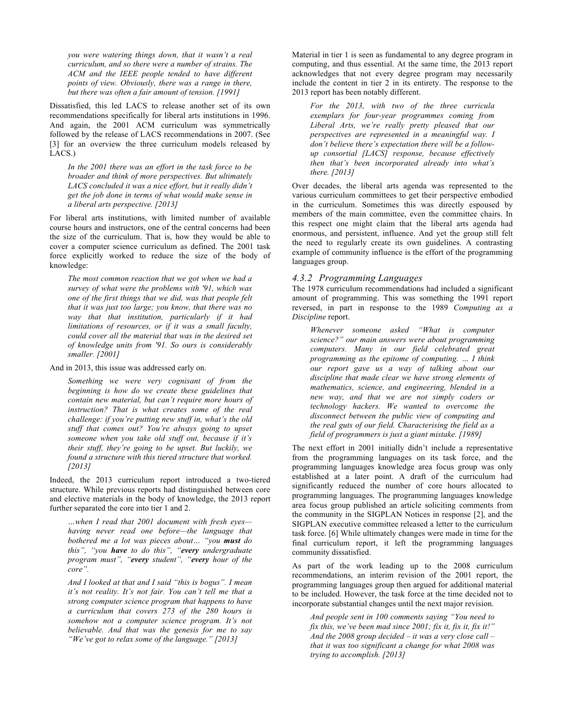you were watering things down, that it wasn't a real *curriculum, and so there were a number of strains. The ACM and the IEEE people tended to have different points of view. Obviously, there was a range in there, but there was often a fair amount of tension. [1991]*

Dissatisfied, this led LACS to release another set of its own recommendations specifically for liberal arts institutions in 1996. And again, the 2001 ACM curriculum was symmetrically followed by the release of LACS recommendations in 2007. (See [3] for an overview the three curriculum models released by LACS.)

*In the 2001 there was an effort in the task force to be broader and think of more perspectives. But ultimately*  LACS concluded it was a nice effort, but it really didn't *get the job done in terms of what would make sense in a liberal arts perspective. [2013]*

For liberal arts institutions, with limited number of available course hours and instructors, one of the central concerns had been the size of the curriculum. That is, how they would be able to cover a computer science curriculum as defined. The 2001 task force explicitly worked to reduce the size of the body of knowledge:

*The most common reaction that we got when we had a survey of what were the problems with '91, which was one of the first things that we did, was that people felt that it was just too large; you know, that there was no way that that institution, particularly if it had limitations of resources, or if it was a small faculty, could cover all the material that was in the desired set of knowledge units from '91. So ours is considerably smaller. [2001]*

And in 2013, this issue was addressed early on.

*Something we were very cognisant of from the beginning is how do we create these guidelines that contain new material, but canít require more hours of instruction? That is what creates some of the real challenge: if you're putting new stuff in, what's the old stuff that comes out? Youíre always going to upset*  someone when you take old stuff out, because if it's their stuff, they're going to be upset. But luckily, we *found a structure with this tiered structure that worked. [2013]*

Indeed, the 2013 curriculum report introduced a two-tiered structure. While previous reports had distinguished between core and elective materials in the body of knowledge, the 2013 report further separated the core into tier 1 and 2.

 $\dots$ when I read that 2001 document with fresh eyes *having never read one before—the language that bothered me a lot was pieces about... "you must do this*", "you **have** to do this", "every undergraduate *program must", "every student", "every hour of the core*".

And I looked at that and I said "this is bogus". I mean it's not reality. It's not fair. You can't tell me that a *strong computer science program that happens to have a curriculum that covers 273 of the 280 hours is*  somehow not a computer science program. It's not *believable. And that was the genesis for me to say <sup><i>i*</sup>We<sup>'</sup>ve got to relax some of the language.<sup>"</sup> [2013]

Material in tier 1 is seen as fundamental to any degree program in computing, and thus essential. At the same time, the 2013 report acknowledges that not every degree program may necessarily include the content in tier 2 in its entirety. The response to the 2013 report has been notably different.

*For the 2013, with two of the three curricula exemplars for four-year programmes coming from*  Liberal Arts, we're really pretty pleased that our *perspectives are represented in a meaningful way. I*  don't believe there's expectation there will be a follow*up consortial [LACS] response, because effectively then that's been incorporated already into what's there. [2013]*

Over decades, the liberal arts agenda was represented to the various curriculum committees to get their perspective embodied in the curriculum. Sometimes this was directly espoused by members of the main committee, even the committee chairs. In this respect one might claim that the liberal arts agenda had enormous, and persistent, influence. And yet the group still felt the need to regularly create its own guidelines. A contrasting example of community influence is the effort of the programming languages group.

#### *4.3.2 Programming Languages*

The 1978 curriculum recommendations had included a significant amount of programming. This was something the 1991 report reversed, in part in response to the 1989 *Computing as a Discipline* report.

*Whenever* someone asked "What is computer *science?î our main answers were about programming computers. Many in our field celebrated great programming as the epitome of computing.*  $\ldots$  *I think our report gave us a way of talking about our discipline that made clear we have strong elements of mathematics, science, and engineering, blended in a new way, and that we are not simply coders or technology hackers. We wanted to overcome the disconnect between the public view of computing and the real guts of our field. Characterising the field as a field of programmers is just a giant mistake. [1989]* 

The next effort in 2001 initially didn't include a representative from the programming languages on its task force, and the programming languages knowledge area focus group was only established at a later point. A draft of the curriculum had significantly reduced the number of core hours allocated to programming languages. The programming languages knowledge area focus group published an article soliciting comments from the community in the SIGPLAN Notices in response [2], and the SIGPLAN executive committee released a letter to the curriculum task force. [6] While ultimately changes were made in time for the final curriculum report, it left the programming languages community dissatisfied.

As part of the work leading up to the 2008 curriculum recommendations, an interim revision of the 2001 report, the programming languages group then argued for additional material to be included. However, the task force at the time decided not to incorporate substantial changes until the next major revision.

And people sent in 100 comments saying "You need to *fix this, we've been mad since 2001; fix it, fix it, fix it!*" And the 2008 group decided  $-$  it was a very close call  $$ *that it was too significant a change for what 2008 was trying to accomplish. [2013]*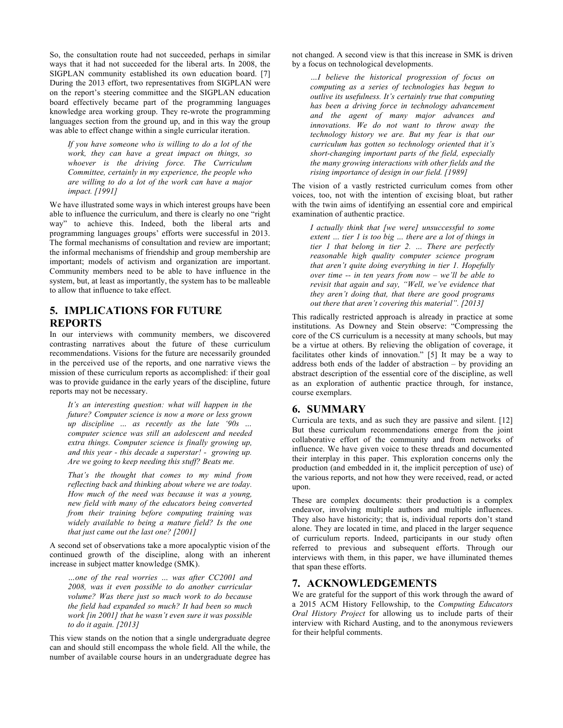So, the consultation route had not succeeded, perhaps in similar ways that it had not succeeded for the liberal arts. In 2008, the SIGPLAN community established its own education board. [7] During the 2013 effort, two representatives from SIGPLAN were on the report's steering committee and the SIGPLAN education board effectively became part of the programming languages knowledge area working group. They re-wrote the programming languages section from the ground up, and in this way the group was able to effect change within a single curricular iteration.

*If you have someone who is willing to do a lot of the work, they can have a great impact on things, so whoever is the driving force. The Curriculum Committee, certainly in my experience, the people who are willing to do a lot of the work can have a major impact. [1991]*

We have illustrated some ways in which interest groups have been able to influence the curriculum, and there is clearly no one "right" wayî to achieve this. Indeed, both the liberal arts and programming languages groups' efforts were successful in 2013. The formal mechanisms of consultation and review are important; the informal mechanisms of friendship and group membership are important; models of activism and organization are important. Community members need to be able to have influence in the system, but, at least as importantly, the system has to be malleable to allow that influence to take effect.

## **5. IMPLICATIONS FOR FUTURE REPORTS**

In our interviews with community members, we discovered contrasting narratives about the future of these curriculum recommendations. Visions for the future are necessarily grounded in the perceived use of the reports, and one narrative views the mission of these curriculum reports as accomplished: if their goal was to provide guidance in the early years of the discipline, future reports may not be necessary.

*Itís an interesting question: what will happen in the future? Computer science is now a more or less grown up discipline* ... as recently as the late '90s ... *computer science was still an adolescent and needed extra things. Computer science is finally growing up, and this year - this decade a superstar! - growing up. Are we going to keep needing this stuff? Beats me.* 

*Thatís the thought that comes to my mind from reflecting back and thinking about where we are today. How much of the need was because it was a young, new field with many of the educators being converted from their training before computing training was widely available to being a mature field? Is the one that just came out the last one? [2001]*

A second set of observations take a more apocalyptic vision of the continued growth of the discipline, along with an inherent increase in subject matter knowledge (SMK).

...one of the real worries ... was after CC2001 and *2008, was it even possible to do another curricular volume? Was there just so much work to do because the field had expanded so much? It had been so much work [in 2001] that he wasn't even sure it was possible to do it again. [2013]*

This view stands on the notion that a single undergraduate degree can and should still encompass the whole field. All the while, the number of available course hours in an undergraduate degree has not changed. A second view is that this increase in SMK is driven by a focus on technological developments.

*ÖI believe the historical progression of focus on computing as a series of technologies has begun to outlive its usefulness. It's certainly true that computing has been a driving force in technology advancement and the agent of many major advances and innovations. We do not want to throw away the technology history we are. But my fear is that our curriculum has gotten so technology oriented that it's short-changing important parts of the field, especially the many growing interactions with other fields and the rising importance of design in our field. [1989]* 

The vision of a vastly restricted curriculum comes from other voices, too, not with the intention of excising bloat, but rather with the twin aims of identifying an essential core and empirical examination of authentic practice.

*I actually think that [we were] unsuccessful to some extent*  $\ldots$  *tier l is too big*  $\ldots$  *there are a lot of things in tier 1 that belong in tier 2. ... There are perfectly reasonable high quality computer science program that arenít quite doing everything in tier 1. Hopefully over time -- in ten years from now – we'll be able to revisit that again and say, "Well, we've evidence that they arenít doing that, that there are good programs out there that aren't covering this material".* [2013]

This radically restricted approach is already in practice at some institutions. As Downey and Stein observe: "Compressing the core of the CS curriculum is a necessity at many schools, but may be a virtue at others. By relieving the obligation of coverage, it facilitates other kinds of innovation." [5] It may be a way to address both ends of the ladder of abstraction  $-$  by providing an abstract description of the essential core of the discipline, as well as an exploration of authentic practice through, for instance, course exemplars.

# **6. SUMMARY**

Curricula are texts, and as such they are passive and silent. [12] But these curriculum recommendations emerge from the joint collaborative effort of the community and from networks of influence. We have given voice to these threads and documented their interplay in this paper. This exploration concerns only the production (and embedded in it, the implicit perception of use) of the various reports, and not how they were received, read, or acted upon.

These are complex documents: their production is a complex endeavor, involving multiple authors and multiple influences. They also have historicity; that is, individual reports don't stand alone. They are located in time, and placed in the larger sequence of curriculum reports. Indeed, participants in our study often referred to previous and subsequent efforts. Through our interviews with them, in this paper, we have illuminated themes that span these efforts.

# **7. ACKNOWLEDGEMENTS**

We are grateful for the support of this work through the award of a 2015 ACM History Fellowship, to the *Computing Educators Oral History Project* for allowing us to include parts of their interview with Richard Austing, and to the anonymous reviewers for their helpful comments.